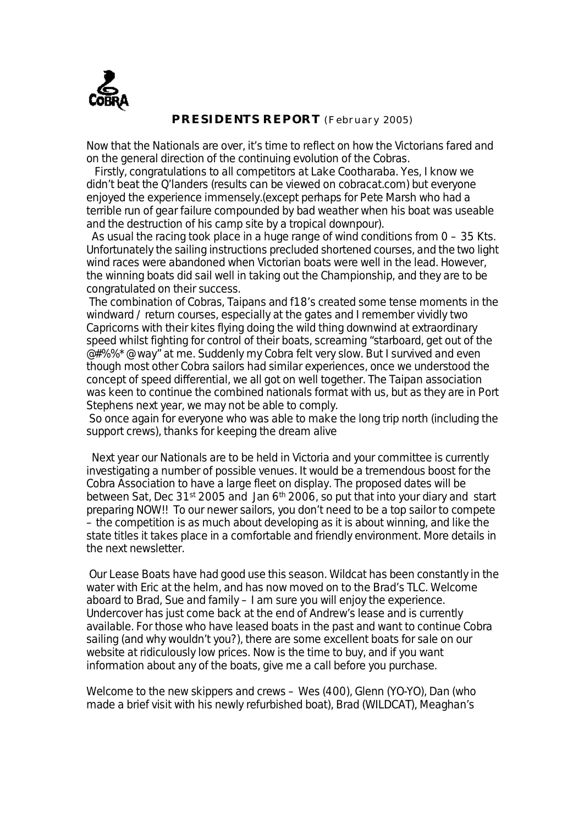

### *PRESIDENTS REPORT (February 2005)*

Now that the Nationals are over, it's time to reflect on how the Victorians fared and on the general direction of the continuing evolution of the Cobras.

Firstly, congratulations to all competitors at Lake Cootharaba. Yes, I know we didn't beat the Q'landers (results can be viewed on cobracat.com) but everyone enjoyed the experience immensely.(except perhaps for Pete Marsh who had a terrible run of gear failure compounded by bad weather when his boat was useable and the destruction of his camp site by a tropical downpour).

As usual the racing took place in a huge range of wind conditions from  $0 - 35$  Kts. Unfortunately the sailing instructions precluded shortened courses, and the two light wind races were abandoned when Victorian boats were well in the lead. However, the winning boats did sail well in taking out the Championship, and they are to be congratulated on their success.

The combination of Cobras, Taipans and f18's created some tense moments in the windward / return courses, especially at the gates and I remember vividly two Capricorns with their kites flying doing the wild thing downwind at extraordinary speed whilst fighting for control of their boats, screaming "starboard, get out of the @#%%\*@ way" at me. Suddenly my Cobra felt very slow. But I survived and even though most other Cobra sailors had similar experiences, once we understood the concept of speed differential, we all got on well together. The Taipan association was keen to continue the combined nationals format with us, but as they are in Port Stephens next year, we may not be able to comply.

So once again for everyone who was able to make the long trip north (including the support crews), thanks for keeping the dream alive

Next year our Nationals are to be held in Victoria and your committee is currently investigating a number of possible venues. It would be a tremendous boost for the Cobra Association to have a large fleet on display. The proposed dates will be between Sat, Dec 31st 2005 and Jan 6th 2006, so put that into your diary and start preparing NOW!! To our newer sailors, you don't need to be a top sailor to compete – the competition is as much about developing as it is about winning, and like the state titles it takes place in a comfortable and friendly environment. More details in the next newsletter.

Our Lease Boats have had good use this season. Wildcat has been constantly in the water with Eric at the helm, and has now moved on to the Brad's TLC. Welcome aboard to Brad, Sue and family – I am sure you will enjoy the experience. Undercover has just come back at the end of Andrew's lease and is currently available. For those who have leased boats in the past and want to continue Cobra sailing (and why wouldn't you?), there are some excellent boats for sale on our website at ridiculously low prices. Now is the time to buy, and if you want information about any of the boats, give me a call before you purchase.

Welcome to the new skippers and crews – Wes (400), Glenn (YO-YO), Dan (who made a brief visit with his newly refurbished boat), Brad (WILDCAT), Meaghan's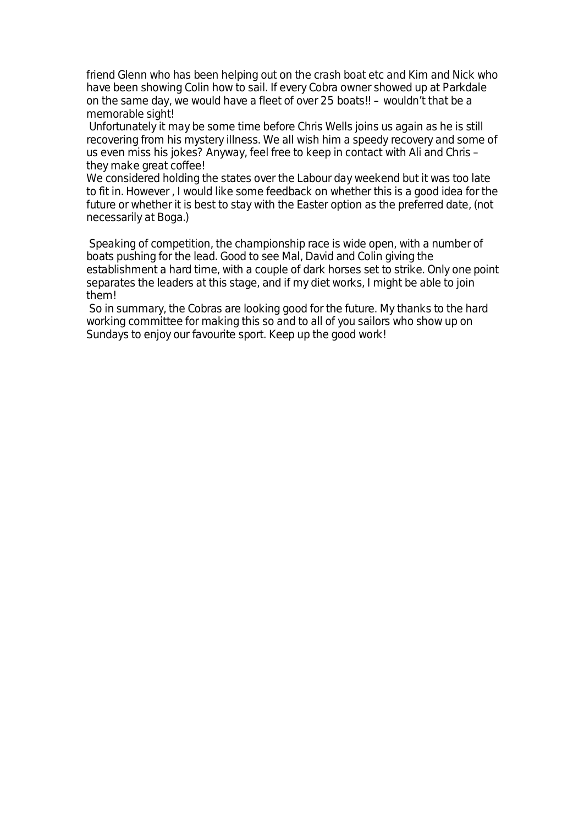friend Glenn who has been helping out on the crash boat etc and Kim and Nick who have been showing Colin how to sail. If every Cobra owner showed up at Parkdale on the same day, we would have a fleet of over 25 boats!! – wouldn't that be a memorable sight!

Unfortunately it may be some time before Chris Wells joins us again as he is still recovering from his mystery illness. We all wish him a speedy recovery and some of us even miss his jokes? Anyway, feel free to keep in contact with Ali and Chris – they make great coffee!

We considered holding the states over the Labour day weekend but it was too late to fit in. However , I would like some feedback on whether this is a good idea for the future or whether it is best to stay with the Easter option as the preferred date, (not necessarily at Boga.)

Speaking of competition, the championship race is wide open, with a number of boats pushing for the lead. Good to see Mal, David and Colin giving the establishment a hard time, with a couple of dark horses set to strike. Only one point separates the leaders at this stage, and if my diet works, I might be able to join them!

So in summary, the Cobras are looking good for the future. My thanks to the hard working committee for making this so and to all of you sailors who show up on Sundays to enjoy our favourite sport. Keep up the good work!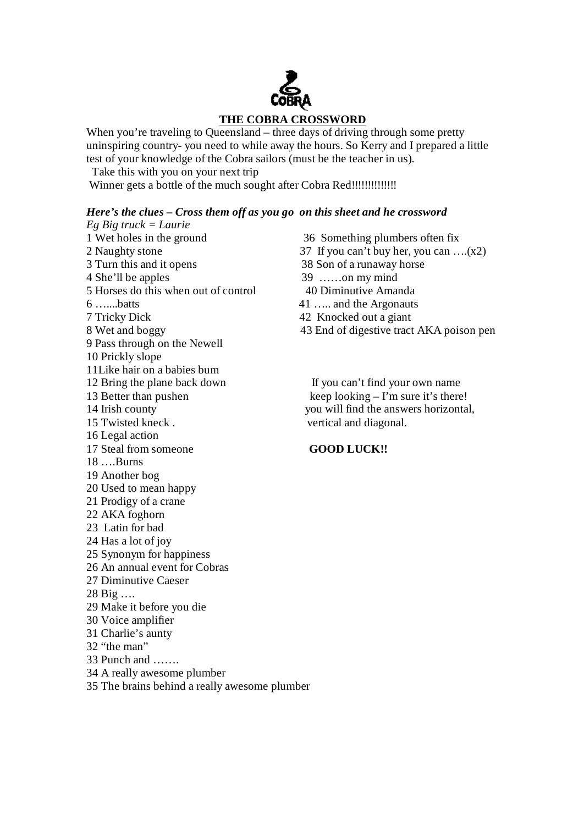# **THE COBRA CROSSWORD**

When you're traveling to Queensland – three days of driving through some pretty uninspiring country- you need to while away the hours. So Kerry and I prepared a little test of your knowledge of the Cobra sailors (must be the teacher in us).

Take this with you on your next trip

Winner gets a bottle of the much sought after Cobra Red!!!!!!!!!!!!!!

### *Here's the clues – Cross them off as you go on this sheet and he crossword*

- *Eg Big truck = Laurie*  1 Wet holes in the ground 36 Something plumbers often fix Turn this and it opens 38 Son of a runaway horse 4 She'll be apples 39 ……on my mind Horses do this when out of control 40 Diminutive Amanda …....batts 41 ….. and the Argonauts Tricky Dick 42 Knocked out a giant 9 Pass through on the Newell Prickly slope 11Like hair on a babies bum 12 Bring the plane back down If you can't find your own name 13 Better than pushen keep looking – I'm sure it's there! 14 Irish county you will find the answers horizontal, Twisted kneck . vertical and diagonal. Legal action Steal from someone **GOOD LUCK!!** ….Burns Another bog Used to mean happy Prodigy of a crane AKA foghorn Latin for bad Has a lot of joy Synonym for happiness An annual event for Cobras Diminutive Caeser Big …. Make it before you die Voice amplifier Charlie's aunty "the man" Punch and ……. A really awesome plumber
- The brains behind a really awesome plumber

 Naughty stone 37 If you can't buy her, you can ….(x2) 8 Wet and boggy 43 End of digestive tract AKA poison pen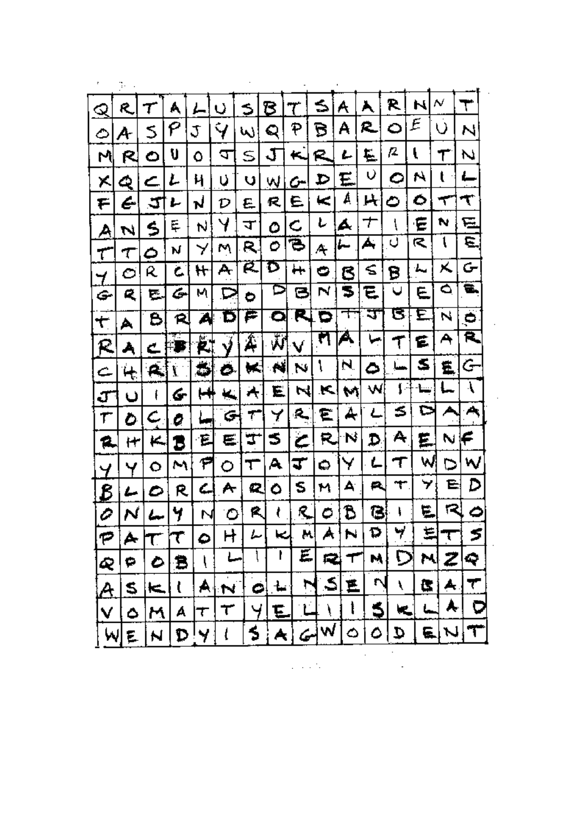| Q        | R.         |    | A         |     | U            | S                      | B                        | 7                        | ≤              | A  | Å           | R.  | N            | N              | ┯  |
|----------|------------|----|-----------|-----|--------------|------------------------|--------------------------|--------------------------|----------------|----|-------------|-----|--------------|----------------|----|
| ٥        | A          | s  | ρ         | J   | $\mathbf{V}$ | W                      | Q                        | P                        | В              | A  | R.,         | ٥   | E            | U.             | И  |
| M        | R          | ٥  | U         | ٥   | J            | s                      | J                        | ↢                        | R              | ı  | E           | β.  | Ł            | Τ              | N  |
| X        | Q          | ے  | L         | Ч   | υ            | V                      | W                        | c-                       | D              | E  | Q.          | ٥   | N            | $\mathfrak{t}$ | ←  |
| F        | E.         | 5  | ı         | N   | D            | £                      | R,                       | E.                       | $\lt$          | A  | 片           | ٥   | Ó            | ┯              | T. |
| Ą        | N          | \$ | Ę         | N   | Y            | ᠴ                      | ٥                        | C                        | ı              | A  | $\bm{\tau}$ | ļ   | ε            | N              | 弖  |
| τ        | T          | ٥  | N         | Y   | M            | R.                     | ి∣                       | ъ                        | Æ              | ⊯  | А,          | U   | R            | $\mathfrak{t}$ | Ε. |
| 7        | O          | R  | c         | H   | A            | Ŕ.                     | D                        | ┿╄                       | $\bullet$      | B  | ≤           | B   | ىمە          | Χ              | G  |
| ☞        | R.         | E. | G         | м   | ⊵            | ٥                      | D                        | Э                        | N              | 5  | E           | U   | E.           | ۵              | ₩. |
| ٣        | A          | B  | R         | A   | Б            | ₽                      | O                        | R.                       | О              | ᠇  | ज           | ड   | E            | N              | Ö  |
| R        | Å          | c  | त्∴<br>H₽ | Ë.  | Ý            | Á                      | $\overline{\mathbf{v}}$  | W.                       | ल              | Ã. | جبا         | T   | ٤            | Ą              | R, |
| c        | $\ddot{+}$ | Α, | Ĩ.        | ر   | O.           | ₩                      | $\left  \bullet \right $ | N                        | J.             | N. | ٥           | حسا | S            | ₿,             | G  |
| J        | U          | ŧ  | 6.        | H   | ×.           | $\left  \cdot \right $ | E.                       | 네                        | $\blacksquare$ | M  | W           | ₽   | بتنا         | L              | Å  |
| Τ        | O          | C. | 0         | ί., | G,           | Т                      | Y                        | $\mathbf{R}$             | E.             | ₳  | ے           | s   | ⊳            | ₳              | ₳  |
| 12.      | H          | K. | Б         | E   | E.           | Ţ                      | 5                        | خ                        | R,             | N  | D           | A   | Ë.           | N              | F  |
| Ч        | ч          | ٥  | M         | ۴   | O            | T                      | Α                        | ∓                        | 0              | Y  | L           | T   | W            | ⊳              | W  |
| <u>B</u> | ı          | ٥  | R         | ረ   | ₳            | 2,                     | ٥                        | s                        | M              | A  | ₽.          | ┭.  | 7,           | E              | D  |
| O        | N          |    | Ч.        | N   | ٥            | R                      | ŧ                        | $\mathbb{R}$             | $\phi$ .       | B  | GI.         | ŧ   | $\mathbf{E}$ | $\mathbb{R}$   | ٥  |
|          |            |    |           |     |              |                        |                          | M                        |                |    | Ω           | 7   |              |                |    |
|          | D          |    | Ξ         |     |              |                        |                          | E                        | Q              |    | M           |     | M            |                | Q  |
|          | S          | ĸ  |           | А   |              |                        |                          |                          | S              | F  |             |     | C            |                |    |
|          |            | М  | А         | T   | τ            |                        |                          |                          |                |    |             |     |              |                |    |
|          |            |    | D         |     |              |                        |                          | $\overline{\mathcal{L}}$ |                |    |             |     |              |                |    |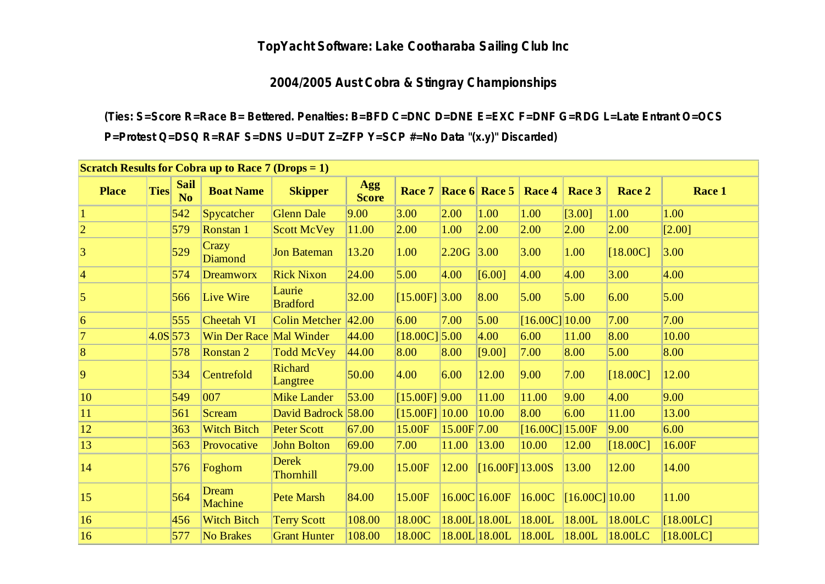### **TopYacht Software: Lake Cootharaba Sailing Club Inc**

### **2004/2005 Aust Cobra & Stingray Championships**

**(Ties: S=Score R=Race B= Bettered. Penalties: B=BFD C=DNC D=DNE E=EXC F=DNF G=RDG L=Late Entrant O=OCS P=Protest Q=DSQ R=RAF S=DNS U=DUT Z=ZFP Y=SCP #=No Data "(x.y)" Discarded)**

| <b>Scratch Results for Cobra up to Race 7 (Drops = 1)</b> |             |                               |                         |                                  |                     |                      |             |                         |                   |                  |            |             |
|-----------------------------------------------------------|-------------|-------------------------------|-------------------------|----------------------------------|---------------------|----------------------|-------------|-------------------------|-------------------|------------------|------------|-------------|
| <b>Place</b>                                              | <b>Ties</b> | <b>Sail</b><br>N <sub>0</sub> | <b>Boat Name</b>        | <b>Skipper</b>                   | Agg<br><b>Score</b> | Race 7               |             | $\vert$ Race 6   Race 5 | Race 4            | Race 3           | Race 2     | Race 1      |
|                                                           |             | 542                           | Spycatcher              | <b>Glenn Dale</b>                | 9.00                | 3.00                 | 2.00        | 1.00                    | 1.00              | [3.00]           | 1.00       | 1.00        |
| $ 2\rangle$                                               |             | 579                           | Ronstan 1               | <b>Scott McVey</b>               | 11.00               | 2.00                 | 1.00        | 2.00                    | 2.00              | 2.00             | 2.00       | [2.00]      |
| 3                                                         |             | 529                           | Crazy<br><b>Diamond</b> | <b>Jon Bateman</b>               | 13.20               | 1.00                 | 2.20G       | 3.00                    | 3.00              | 1.00             | [18.00C]   | 3.00        |
| $\vert 4 \vert$                                           |             | 574                           | <b>Dreamworx</b>        | <b>Rick Nixon</b>                | 24.00               | 5.00                 | 4.00        | [6.00]                  | 4.00              | 4.00             | 3.00       | 4.00        |
| $\overline{5}$                                            |             | 566                           | Live Wire               | Laurie<br><b>Bradford</b>        | 32.00               | $[15.00F]$ 3.00      |             | 8.00                    | 5.00              | 5.00             | 6.00       | 5.00        |
| $\vert 6 \vert$                                           |             | 555                           | <b>Cheetah VI</b>       | <b>Colin Metcher</b>             | 42.00               | 6.00                 | 7.00        | 5.00                    | $[16.00C]$ 10.00  |                  | 7.00       | 7.00        |
| 17                                                        | $4.0S$ 573  |                               | Win Der Race Mal Winder |                                  | 44.00               | $[18.00C]$ 5.00      |             | 4.00                    | 6.00              | 11.00            | 8.00       | 10.00       |
| $\overline{8}$                                            |             | 578                           | Ronstan 2               | <b>Todd McVey</b>                | 44.00               | 8.00                 | 8.00        | [9.00]                  | 7.00              | 8.00             | 5.00       | 8.00        |
| $\overline{9}$                                            |             | 534                           | Centrefold              | Richard<br>Langtree              | 50.00               | 4.00                 | 6.00        | 12.00                   | 9.00              | 7.00             | $[18.00C]$ | 12.00       |
| $ 10\rangle$                                              |             | 549                           | 007                     | <b>Mike Lander</b>               | 53.00               | $[15.00F]$ 9.00      |             | 11.00                   | 11.00             | 9.00             | 4.00       | 9.00        |
| $ 11\rangle$                                              |             | 561                           | Scream                  | David Badrock 58.00              |                     | $[15.00F]$ $[10.00]$ |             | 10.00                   | 8.00              | 6.00             | 11.00      | 13.00       |
| $ 12\rangle$                                              |             | 363                           | <b>Witch Bitch</b>      | <b>Peter Scott</b>               | 67.00               | 15.00F               | 15.00F 7.00 |                         | $[16.00C]$ 15.00F |                  | 9.00       | 6.00        |
| $ 13\rangle$                                              |             | 563                           | Provocative             | <b>John Bolton</b>               | 69.00               | 7.00                 | 11.00       | 13.00                   | 10.00             | 12.00            | $[18.00C]$ | 16.00F      |
| 14                                                        |             | 576                           | Foghorn                 | <b>Derek</b><br><b>Thornhill</b> | 79.00               | 15.00F               | 12.00       | $[16.00F]$ 13.00S       |                   | 13.00            | 12.00      | 14.00       |
| 15                                                        |             | 564                           | Dream<br><b>Machine</b> | <b>Pete Marsh</b>                | 84.00               | 15.00F               |             | 16.00C 16.00F           | 16.00C            | $[16.00C]$ 10.00 |            | 11.00       |
| 16                                                        |             | 456                           | <b>Witch Bitch</b>      | <b>Terry Scott</b>               | 108.00              | 18.00C               |             | 18.00L 18.00L           | 18.00L            | 18.00L           | 18.00LC    | $[18.00LC]$ |
| 16                                                        |             | 577                           | <b>No Brakes</b>        | <b>Grant Hunter</b>              | 108.00              | 18.00C               |             | 18.00L 18.00L           | 18.00L            | 18.00L           | 18.00LC    | $[18.00LC]$ |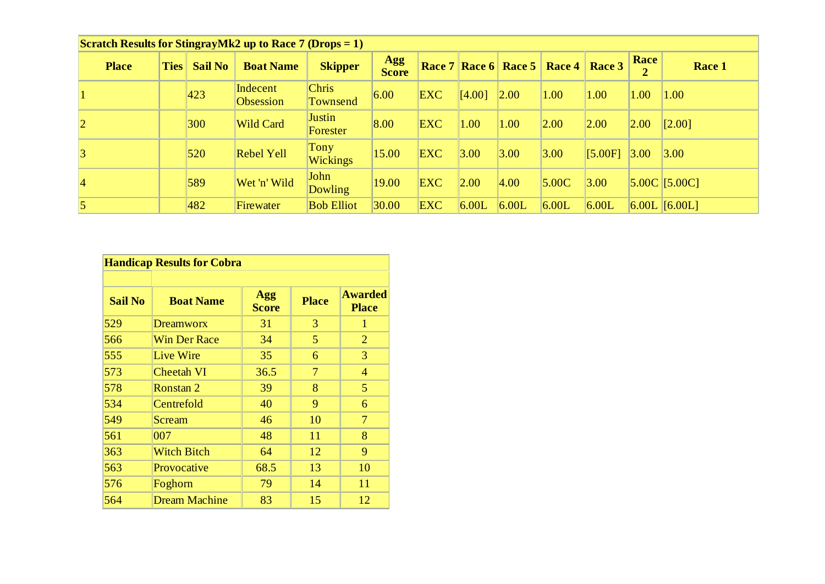| <b>Scratch Results for StingrayMk2 up to Race 7 (Drops = 1)</b> |  |             |                |                              |                          |                            |            |        |                                 |        |         |           |                 |
|-----------------------------------------------------------------|--|-------------|----------------|------------------------------|--------------------------|----------------------------|------------|--------|---------------------------------|--------|---------|-----------|-----------------|
| <b>Place</b>                                                    |  | <b>Ties</b> | <b>Sail No</b> | <b>Boat Name</b>             | <b>Skipper</b>           | <b>Agg</b><br><b>Score</b> | Race 7     |        | $\vert$ Race 6   Race 5 $\vert$ | Race 4 | Race 3  | Race<br>2 | Race 1          |
|                                                                 |  |             | 423            | Indecent<br><b>Obsession</b> | <b>Chris</b><br>Townsend | 6.00                       | <b>EXC</b> | [4.00] | 2.00                            | 1.00   | 1.00    | 1.00      | 1.00            |
| $ 2 \>$                                                         |  |             | 300            | <b>Wild Card</b>             | Justin<br>Forester       | 8.00                       | <b>EXC</b> | 1.00   | 1.00                            | 2.00   | 2.00    | 2.00      | [2.00]          |
| 3                                                               |  |             | 520            | <b>Rebel Yell</b>            | Tony<br><b>Wickings</b>  | 15.00                      | <b>EXC</b> | 3.00   | 3.00                            | 3.00   | [5.00F] | 3.00      | $ 3.00\rangle$  |
| $\vert 4 \vert$                                                 |  |             | 589            | Wet 'n' Wild                 | John<br><b>Dowling</b>   | 19.00                      | <b>EXC</b> | 2.00   | 4.00                            | 5.00C  | 3.00    |           | $5.00C$ [5.00C] |
| 5                                                               |  |             | 482            | Firewater                    | <b>Bob Elliot</b>        | 30.00                      | <b>EXC</b> | 6.00L  | 6.00L                           | 6.00L  | 6.00L   |           | $6.00L$ [6.00L] |

| <b>Handicap Results for Cobra</b> |                      |                     |              |                                |  |  |  |
|-----------------------------------|----------------------|---------------------|--------------|--------------------------------|--|--|--|
| <b>Sail No</b>                    | <b>Boat Name</b>     | Agg<br><b>Score</b> | <b>Place</b> | <b>Awarded</b><br><b>Place</b> |  |  |  |
| 529                               | <b>Dreamworx</b>     | 31                  | 3            | 1                              |  |  |  |
| 566                               | <b>Win Der Race</b>  | 34                  | 5            | $\overline{2}$                 |  |  |  |
| 555                               | Live Wire            | 35                  | 6            | 3                              |  |  |  |
| 573                               | <b>Cheetah VI</b>    | 36.5                | 7            | $\overline{4}$                 |  |  |  |
| 578                               | Ronstan 2            | 39                  | 8            | 5                              |  |  |  |
| 534                               | Centrefold           | 40                  | 9            | 6                              |  |  |  |
| 549                               | Scream               | 46                  | 10           | 7                              |  |  |  |
| 561                               | 007                  | 48                  | 11           | 8                              |  |  |  |
| 363                               | <b>Witch Bitch</b>   | 64                  | 12           | 9                              |  |  |  |
| 563                               | Provocative          | 68.5                | 13           | 10                             |  |  |  |
| 576                               | Foghorn              | 79                  | 14           | 11                             |  |  |  |
| 564                               | <b>Dream Machine</b> | 83                  | 15           | 12                             |  |  |  |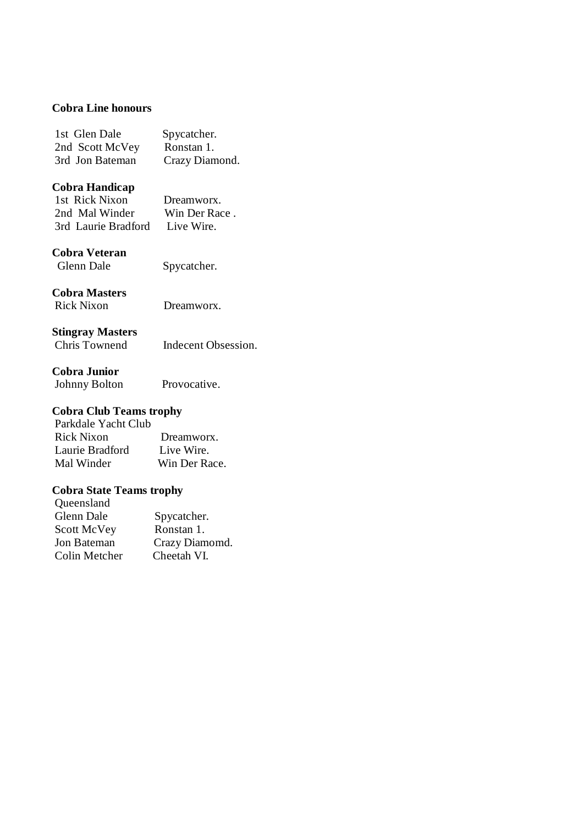### **Cobra Line honours**

| 1st Glen Dale   | Spycatcher.    |
|-----------------|----------------|
| 2nd Scott McVey | Ronstan 1.     |
| 3rd Jon Bateman | Crazy Diamond. |

### **Cobra Handicap**

| 1st Rick Nixon      | Dreamworx.    |
|---------------------|---------------|
| 2nd Mal Winder      | Win Der Race. |
| 3rd Laurie Bradford | Live Wire.    |

## **Cobra Veteran**

Spycatcher.

### **Cobra Masters**

Rick Nixon Dreamworx.

### **Stingray Masters**

Chris Townend Indecent Obsession.

### **Cobra Junior**

Johnny Bolton Provocative.

### **Cobra Club Teams trophy**

 Parkdale Yacht Club Rick Nixon Dreamworx. Laurie Bradford Live Wire. Mal Winder Win Der Race.

### **Cobra State Teams trophy**

| Queensland    |                |
|---------------|----------------|
| Glenn Dale    | Spycatcher.    |
| Scott McVey   | Ronstan 1.     |
| Jon Bateman   | Crazy Diamomd. |
| Colin Metcher | Cheetah VI.    |